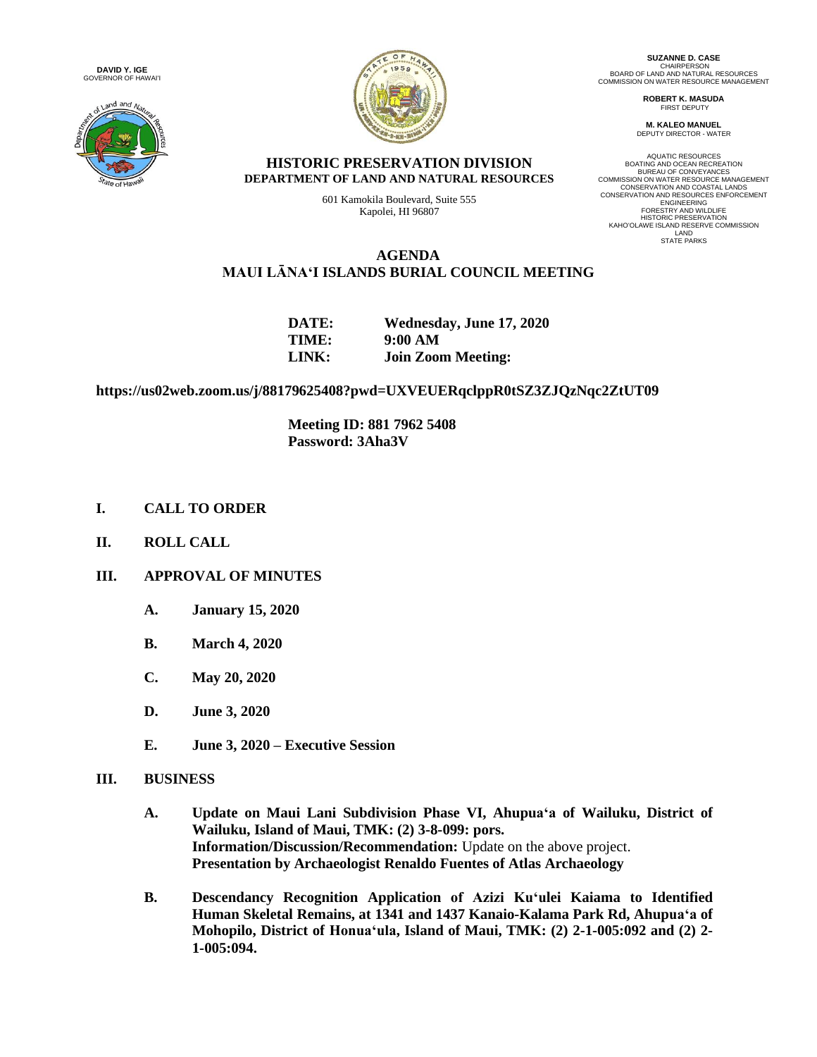**DAVID Y. IGE** GOVERNOR OF HAWAIʻI





**SUZANNE D. CASE** CHAIRPERSON<br>BOARD OF LAND AND NATURAL RESOURCES<br>COMMISSION ON WATER RESOURCE MANAGEMENT

> **ROBERT K. MASUDA** FIRST DEPUTY

**M. KALEO MANUEL** DEPUTY DIRECTOR - WATER

#### **HISTORIC PRESERVATION DIVISION DEPARTMENT OF LAND AND NATURAL RESOURCES**

601 Kamokila Boulevard, Suite 555 Kapolei, HI 96807

AQUATIC RESOURCES BOATING AND OCEAN RECREATION BUREAU OF CONVEYANCES COMMISSION ON WATER RESOURCE MANAGEMENT CONSERVATION AND COASTAL LANDS CONSERVATION AND RESOURCES ENFORCEMENT **ENGINEERING** FORESTRY AND WILDLIFE HISTORIC PRESERVATION KAHOʻOLAWE ISLAND RESERVE COMMISSION LAND STATE PARKS

# **AGENDA MAUI LĀNAʻI ISLANDS BURIAL COUNCIL MEETING**

| DATE: | Wednesday, June 17, 2020  |
|-------|---------------------------|
| TIME: | 9:00 AM                   |
| LINK: | <b>Join Zoom Meeting:</b> |

**https://us02web.zoom.us/j/88179625408?pwd=UXVEUERqclppR0tSZ3ZJQzNqc2ZtUT09**

**Meeting ID: 881 7962 5408 Password: 3Aha3V**

- **I. CALL TO ORDER**
- **II. ROLL CALL**

# **III. APPROVAL OF MINUTES**

- **A. January 15, 2020**
- **B. March 4, 2020**
- **C. May 20, 2020**
- **D. June 3, 2020**
- **E. June 3, 2020 – Executive Session**

## **III. BUSINESS**

- **A. Update on Maui Lani Subdivision Phase VI, Ahupuaʻa of Wailuku, District of Wailuku, Island of Maui, TMK: (2) 3-8-099: pors. Information/Discussion/Recommendation:** Update on the above project. **Presentation by Archaeologist Renaldo Fuentes of Atlas Archaeology**
- **B. Descendancy Recognition Application of Azizi Kuʻulei Kaiama to Identified Human Skeletal Remains, at 1341 and 1437 Kanaio-Kalama Park Rd, Ahupuaʻa of Mohopilo, District of Honuaʻula, Island of Maui, TMK: (2) 2-1-005:092 and (2) 2- 1-005:094.**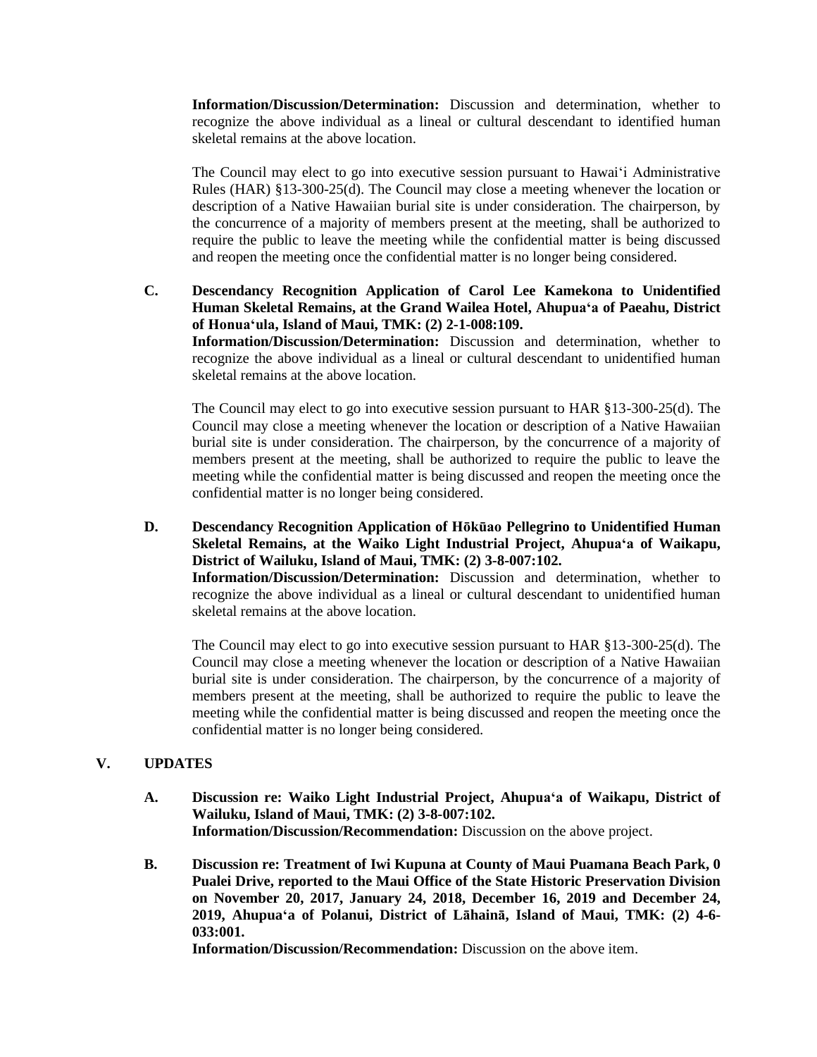**Information/Discussion/Determination:** Discussion and determination, whether to recognize the above individual as a lineal or cultural descendant to identified human skeletal remains at the above location.

The Council may elect to go into executive session pursuant to Hawaiʻi Administrative Rules (HAR) §13-300-25(d). The Council may close a meeting whenever the location or description of a Native Hawaiian burial site is under consideration. The chairperson, by the concurrence of a majority of members present at the meeting, shall be authorized to require the public to leave the meeting while the confidential matter is being discussed and reopen the meeting once the confidential matter is no longer being considered.

**C. Descendancy Recognition Application of Carol Lee Kamekona to Unidentified Human Skeletal Remains, at the Grand Wailea Hotel, Ahupuaʻa of Paeahu, District of Honuaʻula, Island of Maui, TMK: (2) 2-1-008:109. Information/Discussion/Determination:** Discussion and determination, whether to recognize the above individual as a lineal or cultural descendant to unidentified human skeletal remains at the above location.

The Council may elect to go into executive session pursuant to HAR §13-300-25(d). The Council may close a meeting whenever the location or description of a Native Hawaiian burial site is under consideration. The chairperson, by the concurrence of a majority of members present at the meeting, shall be authorized to require the public to leave the meeting while the confidential matter is being discussed and reopen the meeting once the confidential matter is no longer being considered.

**D. Descendancy Recognition Application of Hōkūao Pellegrino to Unidentified Human Skeletal Remains, at the Waiko Light Industrial Project, Ahupuaʻa of Waikapu, District of Wailuku, Island of Maui, TMK: (2) 3-8-007:102. Information/Discussion/Determination:** Discussion and determination, whether to

recognize the above individual as a lineal or cultural descendant to unidentified human skeletal remains at the above location.

The Council may elect to go into executive session pursuant to HAR §13-300-25(d). The Council may close a meeting whenever the location or description of a Native Hawaiian burial site is under consideration. The chairperson, by the concurrence of a majority of members present at the meeting, shall be authorized to require the public to leave the meeting while the confidential matter is being discussed and reopen the meeting once the confidential matter is no longer being considered.

## **V. UPDATES**

- **A. Discussion re: Waiko Light Industrial Project, Ahupuaʻa of Waikapu, District of Wailuku, Island of Maui, TMK: (2) 3-8-007:102. Information/Discussion/Recommendation:** Discussion on the above project.
- **B. Discussion re: Treatment of Iwi Kupuna at County of Maui Puamana Beach Park, 0 Pualei Drive, reported to the Maui Office of the State Historic Preservation Division on November 20, 2017, January 24, 2018, December 16, 2019 and December 24, 2019, Ahupuaʻa of Polanui, District of Lāhainā, Island of Maui, TMK: (2) 4-6- 033:001.**

**Information/Discussion/Recommendation:** Discussion on the above item.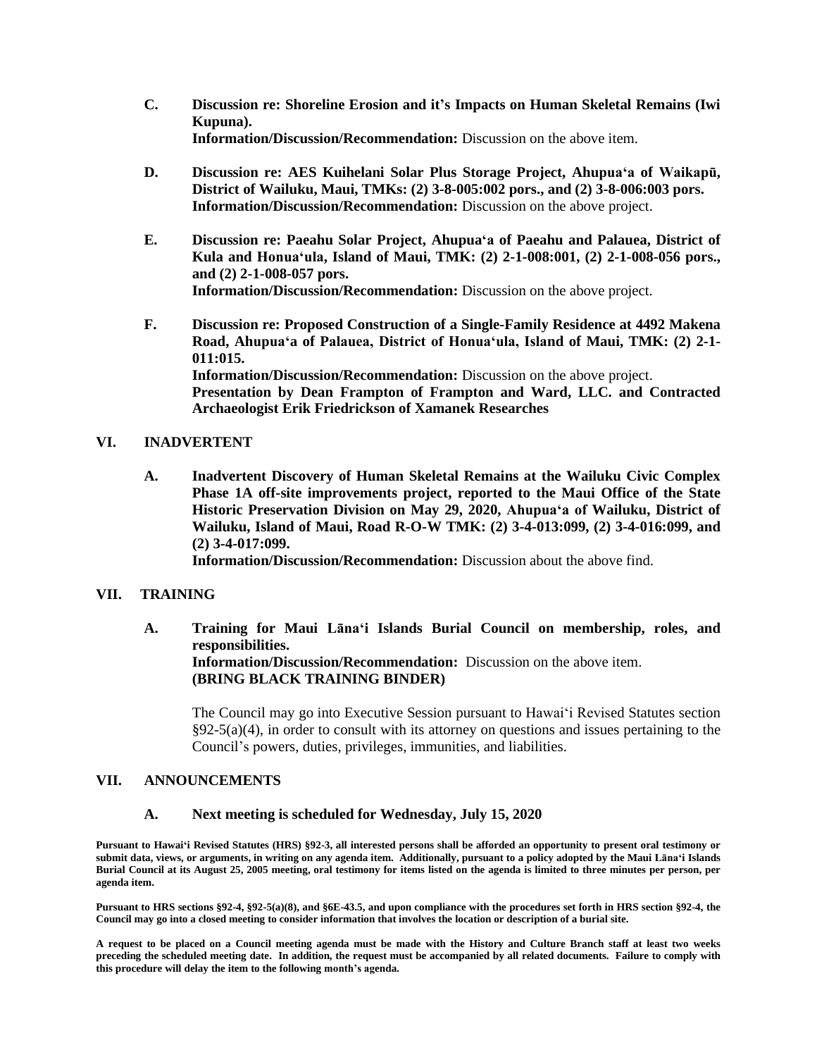- **C. Discussion re: Shoreline Erosion and it's Impacts on Human Skeletal Remains (Iwi Kupuna). Information/Discussion/Recommendation:** Discussion on the above item.
- **D. Discussion re: AES Kuihelani Solar Plus Storage Project, Ahupuaʻa of Waikapū, District of Wailuku, Maui, TMKs: (2) 3-8-005:002 pors., and (2) 3-8-006:003 pors. Information/Discussion/Recommendation:** Discussion on the above project.
- **E. Discussion re: Paeahu Solar Project, Ahupuaʻa of Paeahu and Palauea, District of Kula and Honuaʻula, Island of Maui, TMK: (2) 2-1-008:001, (2) 2-1-008-056 pors., and (2) 2-1-008-057 pors. Information/Discussion/Recommendation:** Discussion on the above project.
- **F. Discussion re: Proposed Construction of a Single-Family Residence at 4492 Makena Road, Ahupuaʻa of Palauea, District of Honuaʻula, Island of Maui, TMK: (2) 2-1- 011:015. Information/Discussion/Recommendation:** Discussion on the above project. **Presentation by Dean Frampton of Frampton and Ward, LLC. and Contracted Archaeologist Erik Friedrickson of Xamanek Researches**

### **VI. INADVERTENT**

**A. Inadvertent Discovery of Human Skeletal Remains at the Wailuku Civic Complex Phase 1A off-site improvements project, reported to the Maui Office of the State Historic Preservation Division on May 29, 2020, Ahupuaʻa of Wailuku, District of Wailuku, Island of Maui, Road R-O-W TMK: (2) 3-4-013:099, (2) 3-4-016:099, and (2) 3-4-017:099.**

**Information/Discussion/Recommendation:** Discussion about the above find.

### **VII. TRAINING**

**A. Training for Maui Lānaʻi Islands Burial Council on membership, roles, and responsibilities. Information/Discussion/Recommendation:** Discussion on the above item. **(BRING BLACK TRAINING BINDER)**

The Council may go into Executive Session pursuant to Hawaiʻi Revised Statutes section  $\S 92-5(a)(4)$ , in order to consult with its attorney on questions and issues pertaining to the Council's powers, duties, privileges, immunities, and liabilities.

#### **VII. ANNOUNCEMENTS**

#### **A. Next meeting is scheduled for Wednesday, July 15, 2020**

**Pursuant to Hawaiʻi Revised Statutes (HRS) §92-3, all interested persons shall be afforded an opportunity to present oral testimony or submit data, views, or arguments, in writing on any agenda item. Additionally, pursuant to a policy adopted by the Maui Lānaʻi Islands Burial Council at its August 25, 2005 meeting, oral testimony for items listed on the agenda is limited to three minutes per person, per agenda item.**

**Pursuant to HRS sections §92-4, §92-5(a)(8), and §6E-43.5, and upon compliance with the procedures set forth in HRS section §92-4, the Council may go into a closed meeting to consider information that involves the location or description of a burial site.**

**A request to be placed on a Council meeting agenda must be made with the History and Culture Branch staff at least two weeks preceding the scheduled meeting date. In addition, the request must be accompanied by all related documents. Failure to comply with this procedure will delay the item to the following month's agenda.**